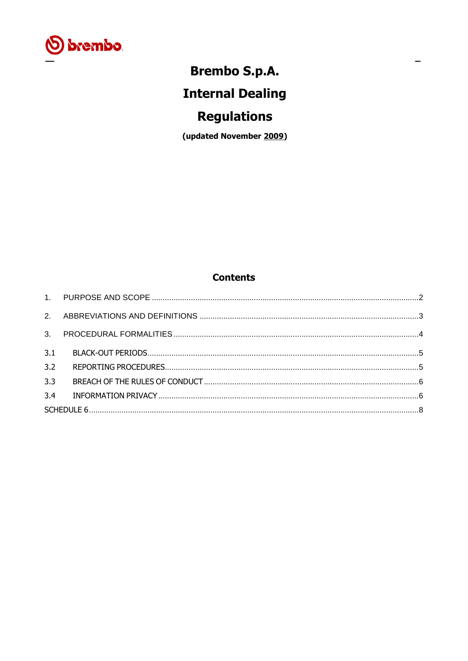

## **Brembo S.p.A.**

 $\equiv$ 

# **Internal Dealing**

## **Regulations**

(updated November 2009)

## **Contents**

| 3.1 |  |
|-----|--|
| 3.2 |  |
| 3.3 |  |
| 3.4 |  |
|     |  |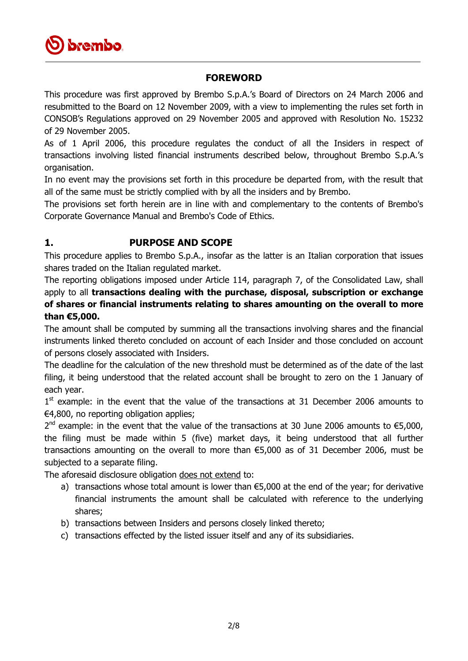

#### **FOREWORD**

This procedure was first approved by Brembo S.p.A.'s Board of Directors on 24 March 2006 and resubmitted to the Board on 12 November 2009, with a view to implementing the rules set forth in CONSOB's Regulations approved on 29 November 2005 and approved with Resolution No. 15232 of 29 November 2005.

As of 1 April 2006, this procedure regulates the conduct of all the Insiders in respect of transactions involving listed financial instruments described below, throughout Brembo S.p.A.'s organisation.

In no event may the provisions set forth in this procedure be departed from, with the result that all of the same must be strictly complied with by all the insiders and by Brembo.

The provisions set forth herein are in line with and complementary to the contents of Brembo's Corporate Governance Manual and Brembo's Code of Ethics.

#### <span id="page-1-0"></span>**1. PURPOSE AND SCOPE**

This procedure applies to Brembo S.p.A., insofar as the latter is an Italian corporation that issues shares traded on the Italian regulated market.

The reporting obligations imposed under Article 114, paragraph 7, of the Consolidated Law, shall apply to all **transactions dealing with the purchase, disposal, subscription or exchange of shares or financial instruments relating to shares amounting on the overall to more than €5,000.**

The amount shall be computed by summing all the transactions involving shares and the financial instruments linked thereto concluded on account of each Insider and those concluded on account of persons closely associated with Insiders.

The deadline for the calculation of the new threshold must be determined as of the date of the last filing, it being understood that the related account shall be brought to zero on the 1 January of each year.

1<sup>st</sup> example: in the event that the value of the transactions at 31 December 2006 amounts to €4,800, no reporting obligation applies;

 $2^{nd}$  example: in the event that the value of the transactions at 30 June 2006 amounts to  $\epsilon$ 5,000, the filing must be made within 5 (five) market days, it being understood that all further transactions amounting on the overall to more than €5,000 as of 31 December 2006, must be subjected to a separate filing.

The aforesaid disclosure obligation does not extend to:

- a) transactions whose total amount is lower than €5,000 at the end of the year; for derivative financial instruments the amount shall be calculated with reference to the underlying shares;
- b) transactions between Insiders and persons closely linked thereto;
- c) transactions effected by the listed issuer itself and any of its subsidiaries.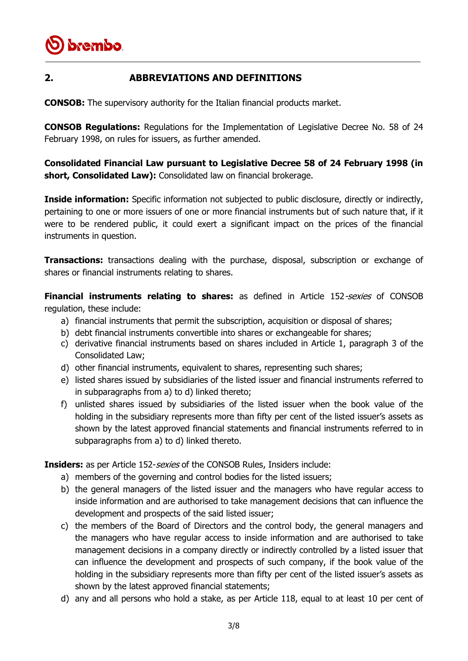

#### <span id="page-2-0"></span>**2. ABBREVIATIONS AND DEFINITIONS**

**CONSOB:** The supervisory authority for the Italian financial products market.

**CONSOB Regulations:** Regulations for the Implementation of Legislative Decree No. 58 of 24 February 1998, on rules for issuers, as further amended.

**Consolidated Financial Law pursuant to Legislative Decree 58 of 24 February 1998 (in short, Consolidated Law):** Consolidated law on financial brokerage.

**Inside information:** Specific information not subjected to public disclosure, directly or indirectly, pertaining to one or more issuers of one or more financial instruments but of such nature that, if it were to be rendered public, it could exert a significant impact on the prices of the financial instruments in question.

**Transactions:** transactions dealing with the purchase, disposal, subscription or exchange of shares or financial instruments relating to shares.

**Financial instruments relating to shares:** as defined in Article 152-sexies of CONSOB regulation, these include:

- a) financial instruments that permit the subscription, acquisition or disposal of shares;
- b) debt financial instruments convertible into shares or exchangeable for shares;
- c) derivative financial instruments based on shares included in Article 1, paragraph 3 of the Consolidated Law;
- d) other financial instruments, equivalent to shares, representing such shares;
- e) listed shares issued by subsidiaries of the listed issuer and financial instruments referred to in subparagraphs from a) to d) linked thereto;
- f) unlisted shares issued by subsidiaries of the listed issuer when the book value of the holding in the subsidiary represents more than fifty per cent of the listed issuer's assets as shown by the latest approved financial statements and financial instruments referred to in subparagraphs from a) to d) linked thereto.

**Insiders:** as per Article 152-*sexies* of the CONSOB Rules, Insiders include:

- a) members of the governing and control bodies for the listed issuers;
- b) the general managers of the listed issuer and the managers who have regular access to inside information and are authorised to take management decisions that can influence the development and prospects of the said listed issuer;
- c) the members of the Board of Directors and the control body, the general managers and the managers who have regular access to inside information and are authorised to take management decisions in a company directly or indirectly controlled by a listed issuer that can influence the development and prospects of such company, if the book value of the holding in the subsidiary represents more than fifty per cent of the listed issuer's assets as shown by the latest approved financial statements;
- d) any and all persons who hold a stake, as per Article 118, equal to at least 10 per cent of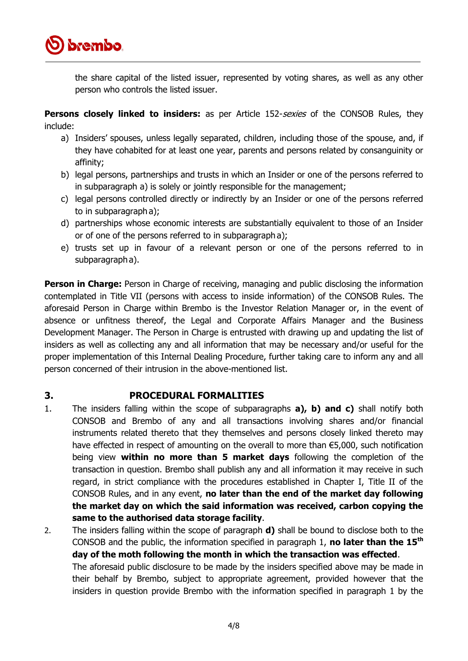

the share capital of the listed issuer, represented by voting shares, as well as any other person who controls the listed issuer.

**Persons closely linked to insiders:** as per Article 152-sexies of the CONSOB Rules, they include:

- a) Insiders' spouses, unless legally separated, children, including those of the spouse, and, if they have cohabited for at least one year, parents and persons related by consanguinity or affinity;
- b) legal persons, partnerships and trusts in which an Insider or one of the persons referred to in subparagraph a) is solely or jointly responsible for the management;
- c) legal persons controlled directly or indirectly by an Insider or one of the persons referred to in subparagraph a);
- d) partnerships whose economic interests are substantially equivalent to those of an Insider or of one of the persons referred to in subparagraph a);
- e) trusts set up in favour of a relevant person or one of the persons referred to in subparagraph a).

**Person in Charge:** Person in Charge of receiving, managing and public disclosing the information contemplated in Title VII (persons with access to inside information) of the CONSOB Rules. The aforesaid Person in Charge within Brembo is the Investor Relation Manager or, in the event of absence or unfitness thereof, the Legal and Corporate Affairs Manager and the Business Development Manager. The Person in Charge is entrusted with drawing up and updating the list of insiders as well as collecting any and all information that may be necessary and/or useful for the proper implementation of this Internal Dealing Procedure, further taking care to inform any and all person concerned of their intrusion in the above-mentioned list.

#### <span id="page-3-0"></span>**3. PROCEDURAL FORMALITIES**

- 1. The insiders falling within the scope of subparagraphs **a), b) and c)** shall notify both CONSOB and Brembo of any and all transactions involving shares and/or financial instruments related thereto that they themselves and persons closely linked thereto may have effected in respect of amounting on the overall to more than €5,000, such notification being view **within no more than 5 market days** following the completion of the transaction in question. Brembo shall publish any and all information it may receive in such regard, in strict compliance with the procedures established in Chapter I, Title II of the CONSOB Rules, and in any event, **no later than the end of the market day following the market day on which the said information was received, carbon copying the same to the authorised data storage facility**.
- 2. The insiders falling within the scope of paragraph **d)** shall be bound to disclose both to the CONSOB and the public, the information specified in paragraph 1, **no later than the 15th day of the moth following the month in which the transaction was effected**. The aforesaid public disclosure to be made by the insiders specified above may be made in their behalf by Brembo, subject to appropriate agreement, provided however that the insiders in question provide Brembo with the information specified in paragraph 1 by the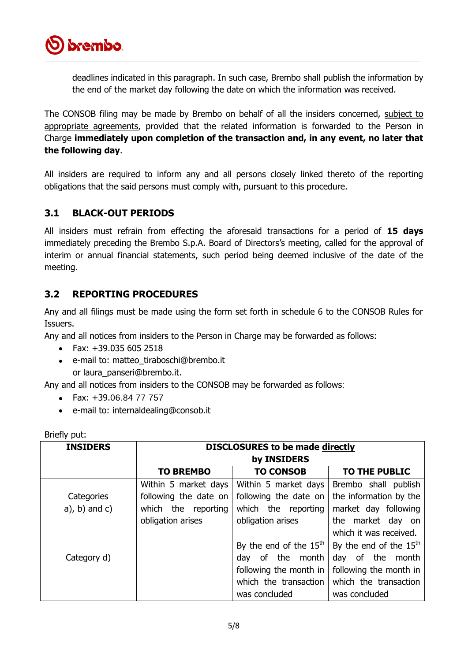

deadlines indicated in this paragraph. In such case, Brembo shall publish the information by the end of the market day following the date on which the information was received.

The CONSOB filing may be made by Brembo on behalf of all the insiders concerned, subject to appropriate agreements, provided that the related information is forwarded to the Person in Charge **immediately upon completion of the transaction and, in any event, no later that the following day**.

All insiders are required to inform any and all persons closely linked thereto of the reporting obligations that the said persons must comply with, pursuant to this procedure.

### <span id="page-4-0"></span>**3.1 BLACK-OUT PERIODS**

All insiders must refrain from effecting the aforesaid transactions for a period of **15 days** immediately preceding the Brembo S.p.A. Board of Directors's meeting, called for the approval of interim or annual financial statements, such period being deemed inclusive of the date of the meeting.

#### <span id="page-4-1"></span>**3.2 REPORTING PROCEDURES**

Any and all filings must be made using the form set forth in schedule 6 to the CONSOB Rules for Issuers.

Any and all notices from insiders to the Person in Charge may be forwarded as follows:

- $\bullet$  Fax:  $+39.0356052518$
- e-mail to: matteo\_tiraboschi@brembo.it or laura\_panseri@brembo.it.

Any and all notices from insiders to the CONSOB may be forwarded as follows:

- Fax: +39.06.84 77 757
- e-mail to: internaldealing@consob.it  $\bullet$

| <b>INSIDERS</b>  | <b>DISCLOSURES to be made directly</b><br>by INSIDERS |                          |                          |  |
|------------------|-------------------------------------------------------|--------------------------|--------------------------|--|
|                  | <b>TO BREMBO</b>                                      | <b>TO CONSOB</b>         | <b>TO THE PUBLIC</b>     |  |
|                  | Within 5 market days                                  | Within 5 market days     | Brembo shall publish     |  |
| Categories       | following the date on                                 | following the date on    | the information by the   |  |
| $a)$ , b) and c) | which the reporting                                   | which the reporting      | market day following     |  |
|                  | obligation arises                                     | obligation arises        | the market day on        |  |
|                  |                                                       |                          | which it was received.   |  |
|                  |                                                       | By the end of the $15th$ | By the end of the $15th$ |  |
| Category d)      |                                                       | of the month<br>dav      | day of the month         |  |
|                  |                                                       | following the month in   | following the month in   |  |
|                  |                                                       | which the transaction    | which the transaction    |  |
|                  |                                                       | was concluded            | was concluded            |  |

Briefly put: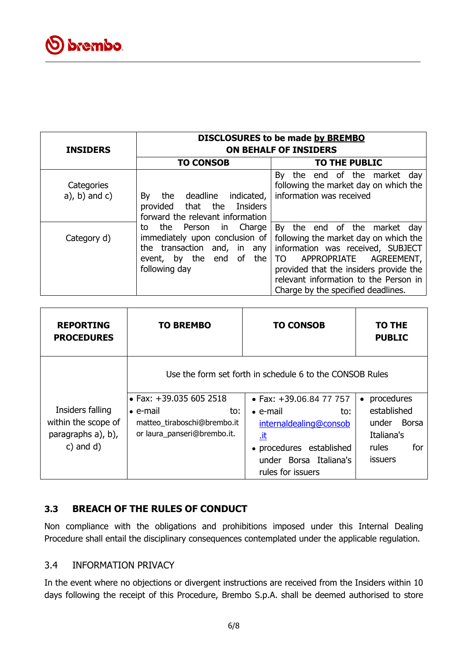| <b>INSIDERS</b>                | DISCLOSURES to be made by BREMBO<br><b>ON BEHALF OF INSIDERS</b>                                                                                              |                                                                                                                                                                                                                                                                        |  |  |
|--------------------------------|---------------------------------------------------------------------------------------------------------------------------------------------------------------|------------------------------------------------------------------------------------------------------------------------------------------------------------------------------------------------------------------------------------------------------------------------|--|--|
|                                | <b>TO CONSOB</b>                                                                                                                                              | <b>TO THE PUBLIC</b>                                                                                                                                                                                                                                                   |  |  |
| Categories<br>$a)$ , b) and c) | deadline<br>indicated,<br>By<br>the<br>provided that the Insiders<br>forward the relevant information                                                         | By<br>the end of the market<br>day<br>following the market day on which the<br>information was received                                                                                                                                                                |  |  |
| Category d)                    | the<br>Charge<br>Person<br>in<br>to<br>immediately upon conclusion of<br>the transaction and, in any<br>the<br>by the<br>end<br>of<br>event,<br>following day | By the end of the market day<br>following the market day on which the<br>information was received, SUBJECT<br>APPROPRIATE<br>AGREEMENT,<br>TO<br>provided that the insiders provide the<br>relevant information to the Person in<br>Charge by the specified deadlines. |  |  |

| <b>REPORTING</b><br><b>PROCEDURES</b>                                          | <b>TO BREMBO</b>                                                                                                 | <b>TO CONSOB</b>                                                                                                                                                                                                             | TO THE<br><b>PUBLIC</b>                                                                                  |
|--------------------------------------------------------------------------------|------------------------------------------------------------------------------------------------------------------|------------------------------------------------------------------------------------------------------------------------------------------------------------------------------------------------------------------------------|----------------------------------------------------------------------------------------------------------|
| Insiders falling<br>within the scope of<br>paragraphs a), b),<br>$c)$ and $d)$ | • Fax: $+39.0356052518$<br>$\bullet$ e-mail<br>to:<br>matteo tiraboschi@brembo.it<br>or laura_panseri@brembo.it. | Use the form set forth in schedule 6 to the CONSOB Rules<br>• Fax: $+39.06.84$ 77 757<br>$\bullet$ e-mail<br>to:<br>internaldealing@consob<br>.it<br>• procedures established<br>under Borsa Italiana's<br>rules for issuers | procedures<br>$\bullet$<br>established<br>Borsa<br>under<br>Italiana's<br>for<br>rules<br><b>issuers</b> |

### <span id="page-5-0"></span>**3.3 BREACH OF THE RULES OF CONDUCT**

Non compliance with the obligations and prohibitions imposed under this Internal Dealing Procedure shall entail the disciplinary consequences contemplated under the applicable regulation.

#### <span id="page-5-1"></span>3.4 INFORMATION PRIVACY

In the event where no objections or divergent instructions are received from the Insiders within 10 days following the receipt of this Procedure, Brembo S.p.A. shall be deemed authorised to store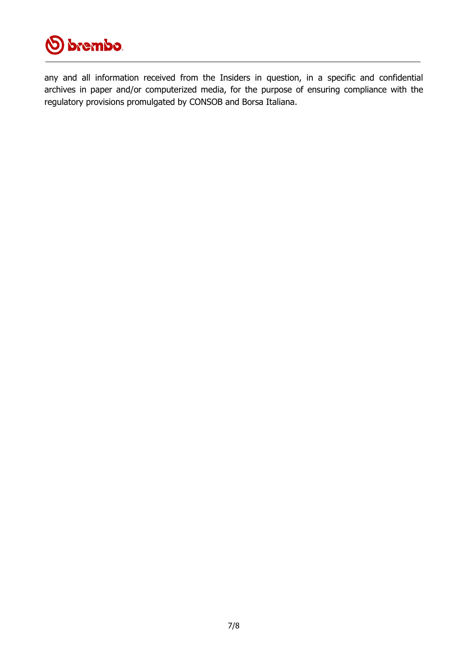

any and all information received from the Insiders in question, in a specific and confidential archives in paper and/or computerized media, for the purpose of ensuring compliance with the regulatory provisions promulgated by CONSOB and Borsa Italiana.